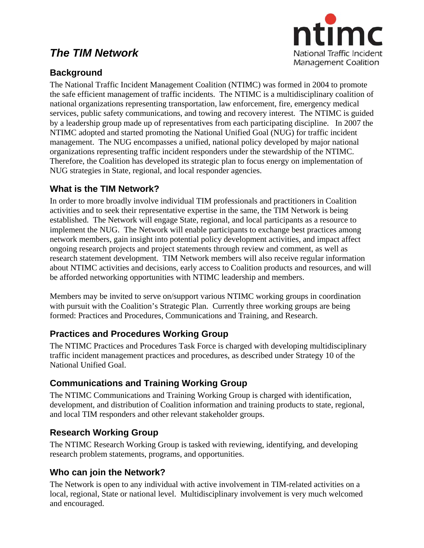# *The TIM Network*



## **Background**

The National Traffic Incident Management Coalition (NTIMC) was formed in 2004 to promote the safe efficient management of traffic incidents. The NTIMC is a multidisciplinary coalition of national organizations representing transportation, law enforcement, fire, emergency medical services, public safety communications, and towing and recovery interest. The NTIMC is guided by a leadership group made up of representatives from each participating discipline. In 2007 the NTIMC adopted and started promoting the National Unified Goal (NUG) for traffic incident management. The NUG encompasses a unified, national policy developed by major national organizations representing traffic incident responders under the stewardship of the NTIMC. Therefore, the Coalition has developed its strategic plan to focus energy on implementation of NUG strategies in State, regional, and local responder agencies.

### **What is the TIM Network?**

In order to more broadly involve individual TIM professionals and practitioners in Coalition activities and to seek their representative expertise in the same, the TIM Network is being established. The Network will engage State, regional, and local participants as a resource to implement the NUG. The Network will enable participants to exchange best practices among network members, gain insight into potential policy development activities, and impact affect ongoing research projects and project statements through review and comment, as well as research statement development. TIM Network members will also receive regular information about NTIMC activities and decisions, early access to Coalition products and resources, and will be afforded networking opportunities with NTIMC leadership and members.

Members may be invited to serve on/support various NTIMC working groups in coordination with pursuit with the Coalition's Strategic Plan. Currently three working groups are being formed: Practices and Procedures, Communications and Training, and Research.

## **Practices and Procedures Working Group**

The NTIMC Practices and Procedures Task Force is charged with developing multidisciplinary traffic incident management practices and procedures, as described under Strategy 10 of the National Unified Goal.

## **Communications and Training Working Group**

The NTIMC Communications and Training Working Group is charged with identification, development, and distribution of Coalition information and training products to state, regional, and local TIM responders and other relevant stakeholder groups.

### **Research Working Group**

The NTIMC Research Working Group is tasked with reviewing, identifying, and developing research problem statements, programs, and opportunities.

### **Who can join the Network?**

The Network is open to any individual with active involvement in TIM-related activities on a local, regional, State or national level. Multidisciplinary involvement is very much welcomed and encouraged.